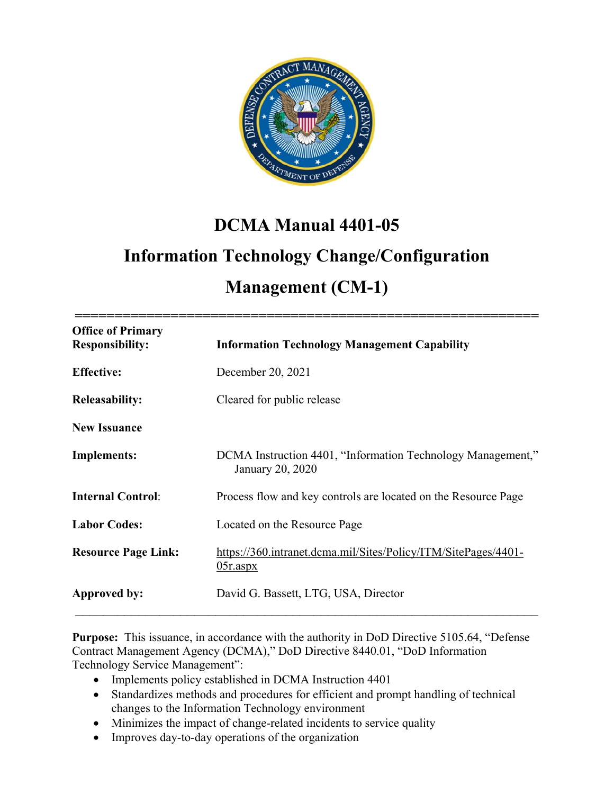

# **DCMA Manual 4401-05**

# **Information Technology Change/Configuration**

# **Management (CM-1)**

| <b>Office of Primary</b><br><b>Responsibility:</b> | <b>Information Technology Management Capability</b>                             |
|----------------------------------------------------|---------------------------------------------------------------------------------|
| <b>Effective:</b>                                  | December 20, 2021                                                               |
| <b>Releasability:</b>                              | Cleared for public release                                                      |
| <b>New Issuance</b>                                |                                                                                 |
| <b>Implements:</b>                                 | DCMA Instruction 4401, "Information Technology Management,"<br>January 20, 2020 |
| <b>Internal Control:</b>                           | Process flow and key controls are located on the Resource Page                  |
| <b>Labor Codes:</b>                                | Located on the Resource Page                                                    |
| <b>Resource Page Link:</b>                         | https://360.intranet.dcma.mil/Sites/Policy/ITM/SitePages/4401-<br>$05r$ .aspx   |
| Approved by:                                       | David G. Bassett, LTG, USA, Director                                            |

**Purpose:** This issuance, in accordance with the authority in DoD Directive 5105.64, "Defense Contract Management Agency (DCMA)," DoD Directive 8440.01, "DoD Information Technology Service Management":

- Implements policy established in DCMA Instruction 4401
- Standardizes methods and procedures for efficient and prompt handling of technical changes to the Information Technology environment
- Minimizes the impact of change-related incidents to service quality
- Improves day-to-day operations of the organization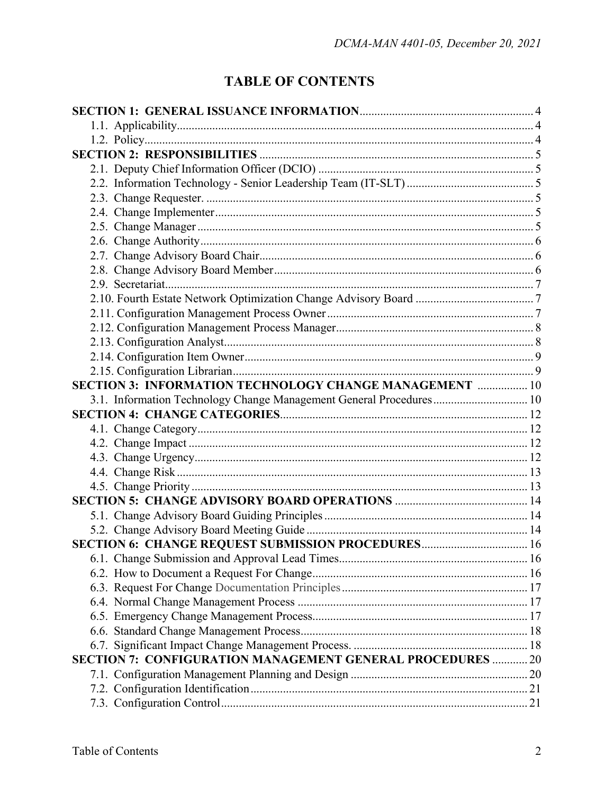## **TABLE OF CONTENTS**

| <b>SECTION 3: INFORMATION TECHNOLOGY CHANGE MANAGEMENT  10</b>      |  |
|---------------------------------------------------------------------|--|
| 3.1. Information Technology Change Management General Procedures 10 |  |
|                                                                     |  |
|                                                                     |  |
|                                                                     |  |
|                                                                     |  |
|                                                                     |  |
|                                                                     |  |
|                                                                     |  |
|                                                                     |  |
|                                                                     |  |
| SECTION 6: CHANGE REQUEST SUBMISSION PROCEDURES 16                  |  |
|                                                                     |  |
|                                                                     |  |
|                                                                     |  |
|                                                                     |  |
|                                                                     |  |
|                                                                     |  |
|                                                                     |  |
| <b>SECTION 7: CONFIGURATION MANAGEMENT GENERAL PROCEDURES  20</b>   |  |
|                                                                     |  |
|                                                                     |  |
|                                                                     |  |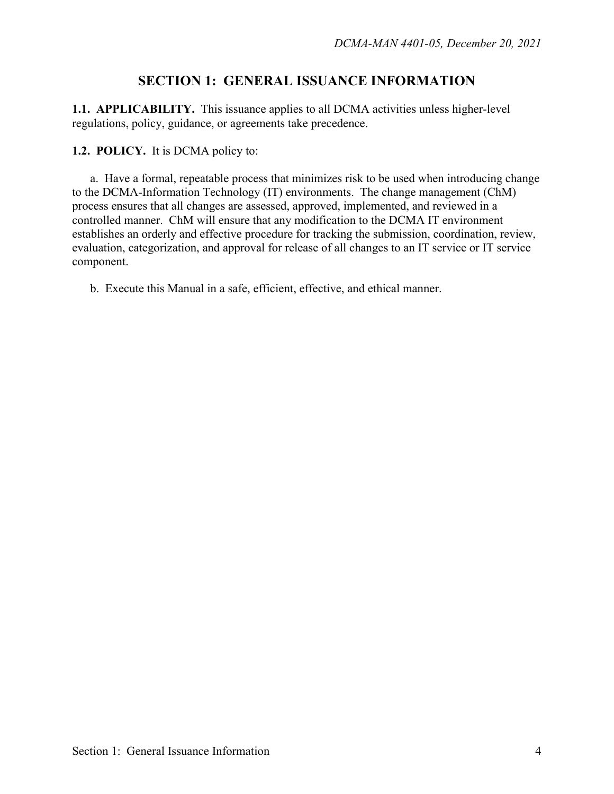## **SECTION 1: GENERAL ISSUANCE INFORMATION**

**1.1. APPLICABILITY.** This issuance applies to all DCMA activities unless higher-level regulations, policy, guidance, or agreements take precedence.

**1.2. POLICY.** It is DCMA policy to:

a. Have a formal, repeatable process that minimizes risk to be used when introducing change to the DCMA-Information Technology (IT) environments. The change management (ChM) process ensures that all changes are assessed, approved, implemented, and reviewed in a controlled manner. ChM will ensure that any modification to the DCMA IT environment establishes an orderly and effective procedure for tracking the submission, coordination, review, evaluation, categorization, and approval for release of all changes to an IT service or IT service component.

b. Execute this Manual in a safe, efficient, effective, and ethical manner.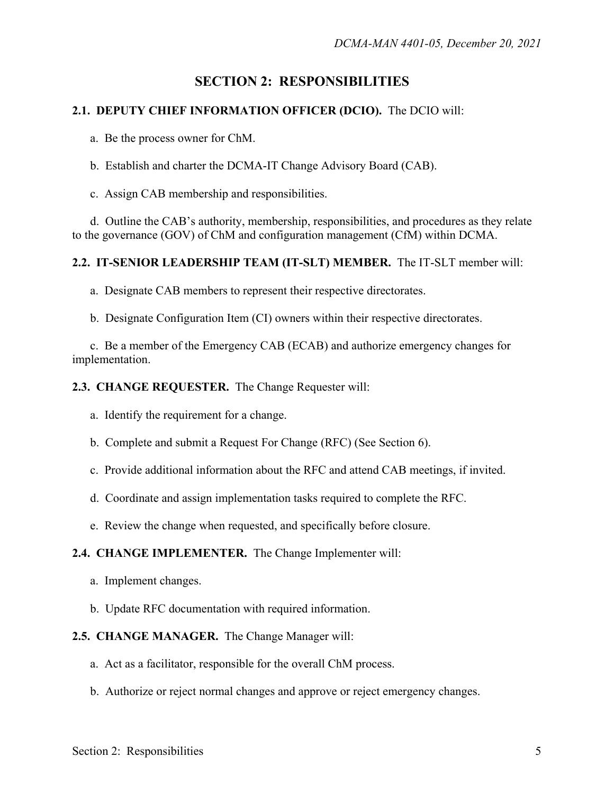## **SECTION 2: RESPONSIBILITIES**

#### **2.1. DEPUTY CHIEF INFORMATION OFFICER (DCIO).** The DCIO will:

a. Be the process owner for ChM.

b. Establish and charter the DCMA-IT Change Advisory Board (CAB).

c. Assign CAB membership and responsibilities.

 d. Outline the CAB's authority, membership, responsibilities, and procedures as they relate to the governance (GOV) of ChM and configuration management (CfM) within DCMA.

#### **2.2. IT-SENIOR LEADERSHIP TEAM (IT-SLT) MEMBER.** The IT-SLT member will:

a. Designate CAB members to represent their respective directorates.

b. Designate Configuration Item (CI) owners within their respective directorates.

 c. Be a member of the Emergency CAB (ECAB) and authorize emergency changes for implementation.

**2.3. CHANGE REQUESTER.** The Change Requester will:

a. Identify the requirement for a change.

b. Complete and submit a Request For Change (RFC) (See Section 6).

c. Provide additional information about the RFC and attend CAB meetings, if invited.

d. Coordinate and assign implementation tasks required to complete the RFC.

e. Review the change when requested, and specifically before closure.

#### **2.4. CHANGE IMPLEMENTER.** The Change Implementer will:

a. Implement changes.

b. Update RFC documentation with required information.

#### **2.5. CHANGE MANAGER.** The Change Manager will:

- a. Act as a facilitator, responsible for the overall ChM process.
- b. Authorize or reject normal changes and approve or reject emergency changes.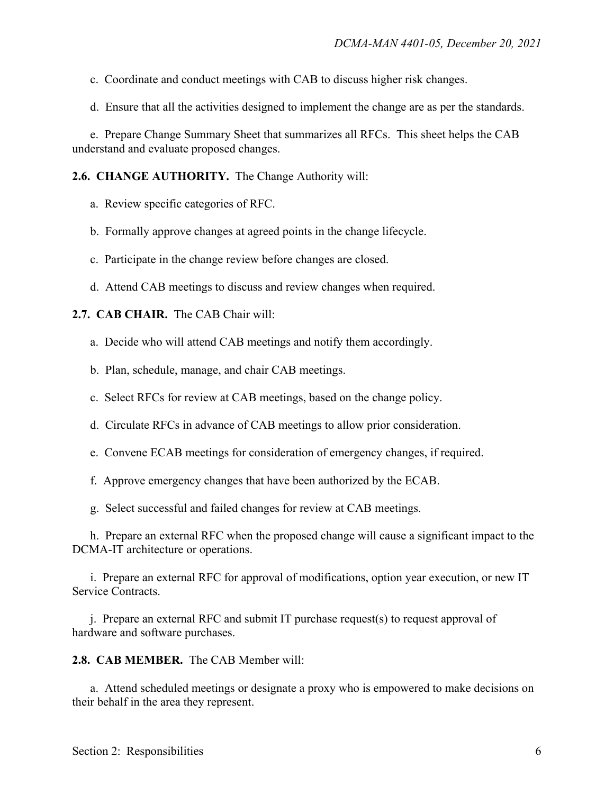- c. Coordinate and conduct meetings with CAB to discuss higher risk changes.
- d. Ensure that all the activities designed to implement the change are as per the standards.

e. Prepare Change Summary Sheet that summarizes all RFCs. This sheet helps the CAB understand and evaluate proposed changes.

**2.6. CHANGE AUTHORITY.** The Change Authority will:

- a. Review specific categories of RFC.
- b. Formally approve changes at agreed points in the change lifecycle.
- c. Participate in the change review before changes are closed.
- d. Attend CAB meetings to discuss and review changes when required.

#### **2.7. CAB CHAIR.** The CAB Chair will:

- a. Decide who will attend CAB meetings and notify them accordingly.
- b. Plan, schedule, manage, and chair CAB meetings.
- c. Select RFCs for review at CAB meetings, based on the change policy.
- d. Circulate RFCs in advance of CAB meetings to allow prior consideration.
- e. Convene ECAB meetings for consideration of emergency changes, if required.
- f. Approve emergency changes that have been authorized by the ECAB.
- g. Select successful and failed changes for review at CAB meetings.

 h. Prepare an external RFC when the proposed change will cause a significant impact to the DCMA-IT architecture or operations.

 i. Prepare an external RFC for approval of modifications, option year execution, or new IT Service Contracts.

 $i$ . Prepare an external RFC and submit IT purchase request(s) to request approval of hardware and software purchases.

**2.8. CAB MEMBER.** The CAB Member will:

a. Attend scheduled meetings or designate a proxy who is empowered to make decisions on their behalf in the area they represent.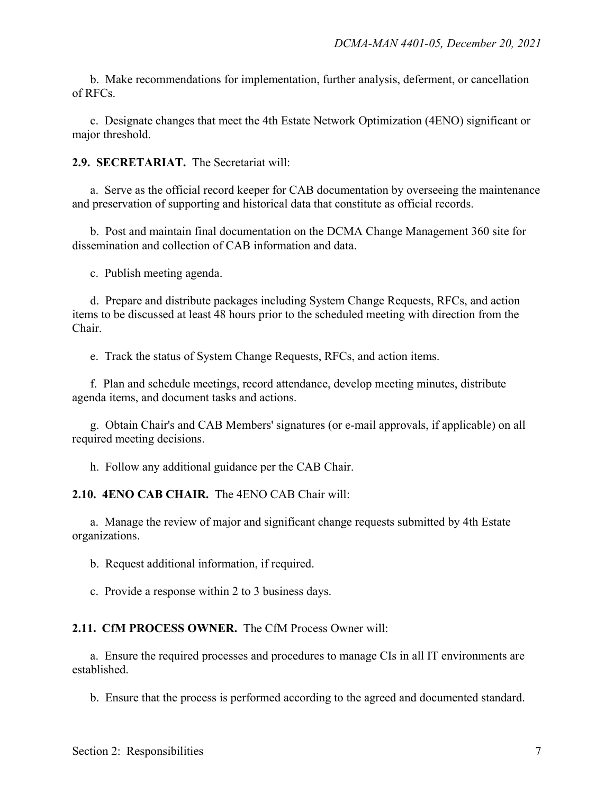b. Make recommendations for implementation, further analysis, deferment, or cancellation of RFCs.

 c. Designate changes that meet the 4th Estate Network Optimization (4ENO) significant or major threshold.

**2.9. SECRETARIAT.** The Secretariat will:

 a. Serve as the official record keeper for CAB documentation by overseeing the maintenance and preservation of supporting and historical data that constitute as official records.

 b. Post and maintain final documentation on the DCMA Change Management 360 site for dissemination and collection of CAB information and data.

c. Publish meeting agenda.

 d. Prepare and distribute packages including System Change Requests, RFCs, and action items to be discussed at least 48 hours prior to the scheduled meeting with direction from the Chair.

e. Track the status of System Change Requests, RFCs, and action items.

f. Plan and schedule meetings, record attendance, develop meeting minutes, distribute agenda items, and document tasks and actions.

 g. Obtain Chair's and CAB Members' signatures (or e-mail approvals, if applicable) on all required meeting decisions.

h. Follow any additional guidance per the CAB Chair.

**2.10. 4ENO CAB CHAIR.** The 4ENO CAB Chair will:

a. Manage the review of major and significant change requests submitted by 4th Estate organizations.

b. Request additional information, if required.

c. Provide a response within 2 to 3 business days.

**2.11.****CfM PROCESS OWNER.** The CfM Process Owner will:

a. Ensure the required processes and procedures to manage CIs in all IT environments are established.

b. Ensure that the process is performed according to the agreed and documented standard.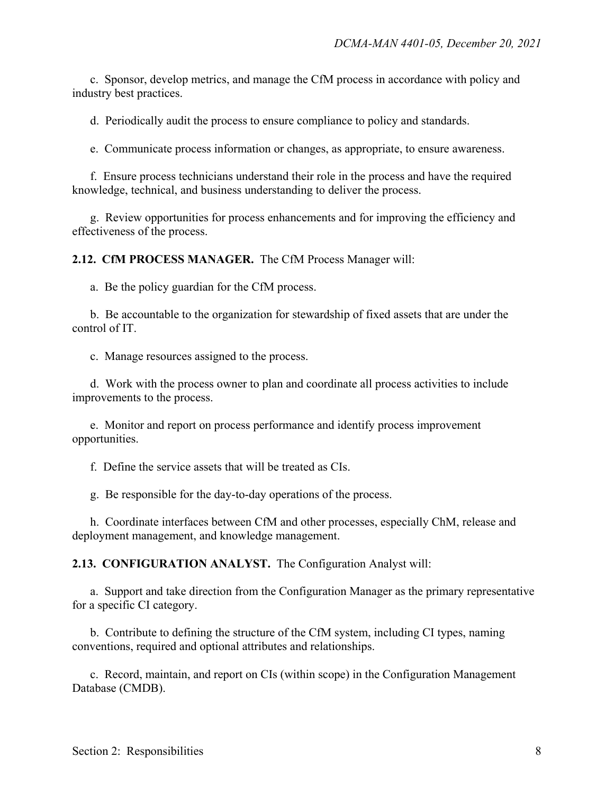c. Sponsor, develop metrics, and manage the CfM process in accordance with policy and industry best practices.

d. Periodically audit the process to ensure compliance to policy and standards.

e. Communicate process information or changes, as appropriate, to ensure awareness.

f. Ensure process technicians understand their role in the process and have the required knowledge, technical, and business understanding to deliver the process.

g. Review opportunities for process enhancements and for improving the efficiency and effectiveness of the process.

**2.12.****CfM PROCESS MANAGER.** The CfM Process Manager will:

a. Be the policy guardian for the CfM process.

b. Be accountable to the organization for stewardship of fixed assets that are under the control of IT.

c. Manage resources assigned to the process.

d. Work with the process owner to plan and coordinate all process activities to include improvements to the process.

e. Monitor and report on process performance and identify process improvement opportunities.

f. Define the service assets that will be treated as CIs.

g. Be responsible for the day-to-day operations of the process.

h. Coordinate interfaces between CfM and other processes, especially ChM, release and deployment management, and knowledge management.

**2.13. CONFIGURATION ANALYST.** The Configuration Analyst will:

a. Support and take direction from the Configuration Manager as the primary representative for a specific CI category.

b. Contribute to defining the structure of the CfM system, including CI types, naming conventions, required and optional attributes and relationships.

c. Record, maintain, and report on CIs (within scope) in the Configuration Management Database (CMDB).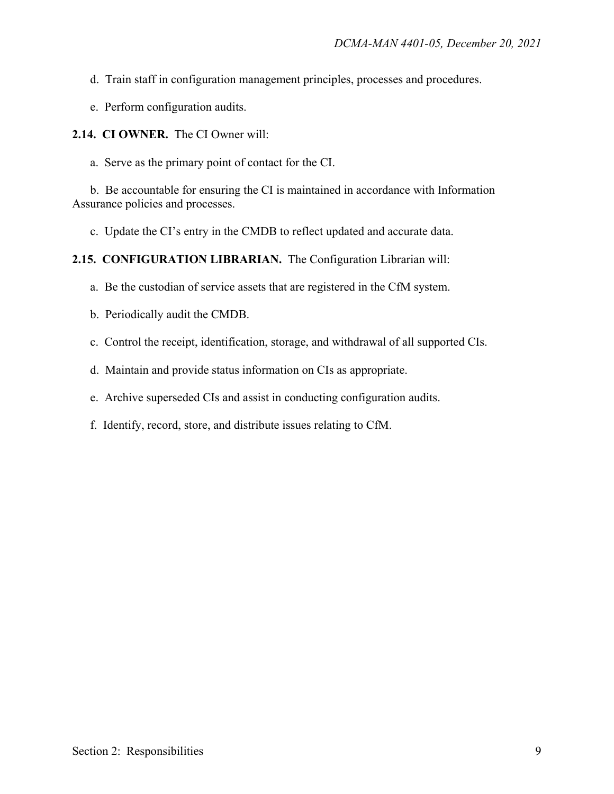- d. Train staff in configuration management principles, processes and procedures.
- e. Perform configuration audits.

**2.14. CI OWNER.** The CI Owner will:

a. Serve as the primary point of contact for the CI.

b. Be accountable for ensuring the CI is maintained in accordance with Information Assurance policies and processes.

c. Update the CI's entry in the CMDB to reflect updated and accurate data.

**2.15. CONFIGURATION LIBRARIAN.** The Configuration Librarian will:

a. Be the custodian of service assets that are registered in the CfM system.

- b. Periodically audit the CMDB.
- c. Control the receipt, identification, storage, and withdrawal of all supported CIs.

d. Maintain and provide status information on CIs as appropriate.

e. Archive superseded CIs and assist in conducting configuration audits.

f. Identify, record, store, and distribute issues relating to CfM.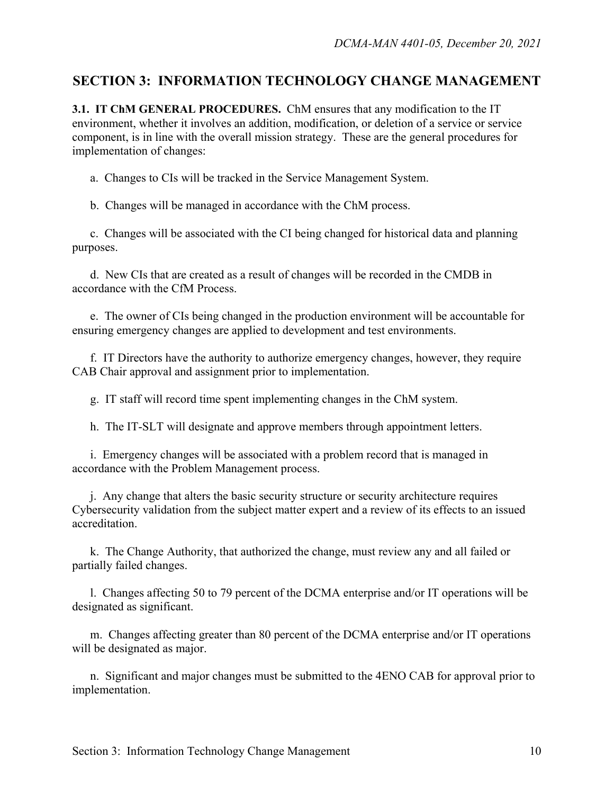### **SECTION 3: INFORMATION TECHNOLOGY CHANGE MANAGEMENT**

**3.1. IT ChM GENERAL PROCEDURES.** ChM ensures that any modification to the IT environment, whether it involves an addition, modification, or deletion of a service or service component, is in line with the overall mission strategy. These are the general procedures for implementation of changes:

a. Changes to CIs will be tracked in the Service Management System.

b. Changes will be managed in accordance with the ChM process.

 c. Changes will be associated with the CI being changed for historical data and planning purposes.

 d. New CIs that are created as a result of changes will be recorded in the CMDB in accordance with the CfM Process.

 e. The owner of CIs being changed in the production environment will be accountable for ensuring emergency changes are applied to development and test environments.

f. IT Directors have the authority to authorize emergency changes, however, they require CAB Chair approval and assignment prior to implementation.

g. IT staff will record time spent implementing changes in the ChM system.

h. The IT-SLT will designate and approve members through appointment letters.

 i. Emergency changes will be associated with a problem record that is managed in accordance with the Problem Management process.

 j. Any change that alters the basic security structure or security architecture requires Cybersecurity validation from the subject matter expert and a review of its effects to an issued accreditation.

 k. The Change Authority, that authorized the change, must review any and all failed or partially failed changes.

 l. Changes affecting 50 to 79 percent of the DCMA enterprise and/or IT operations will be designated as significant.

m. Changes affecting greater than 80 percent of the DCMA enterprise and/or IT operations will be designated as major.

 n. Significant and major changes must be submitted to the 4ENO CAB for approval prior to implementation.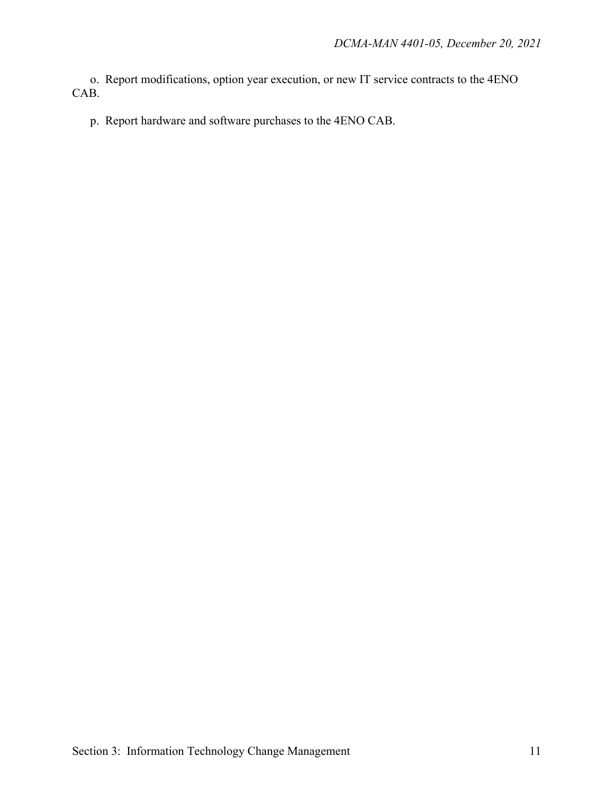o. Report modifications, option year execution, or new IT service contracts to the 4ENO CAB.

p. Report hardware and software purchases to the 4ENO CAB.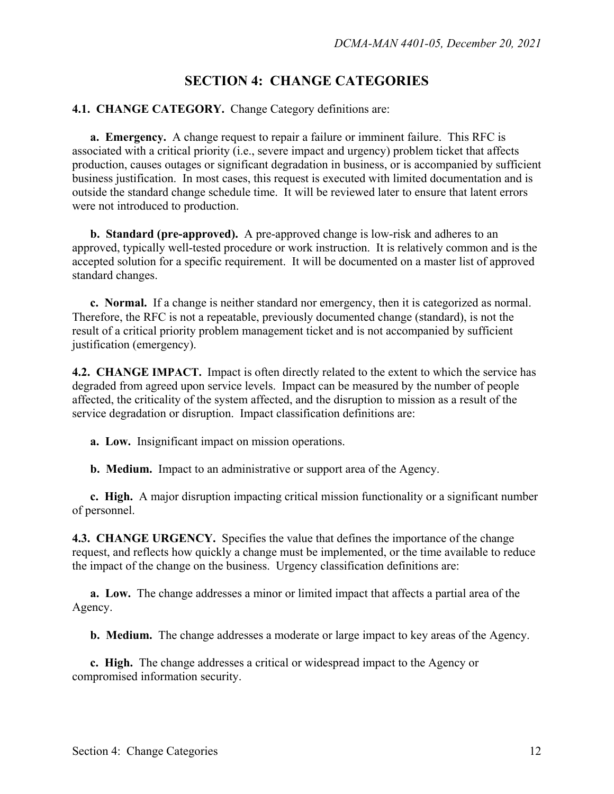## **SECTION 4: CHANGE CATEGORIES**

#### **4.1. CHANGE CATEGORY.** Change Category definitions are:

**a. Emergency.** A change request to repair a failure or imminent failure. This RFC is associated with a critical priority (i.e., severe impact and urgency) problem ticket that affects production, causes outages or significant degradation in business, or is accompanied by sufficient business justification. In most cases, this request is executed with limited documentation and is outside the standard change schedule time. It will be reviewed later to ensure that latent errors were not introduced to production.

**b. Standard (pre-approved).** A pre-approved change is low-risk and adheres to an approved, typically well-tested procedure or work instruction. It is relatively common and is the accepted solution for a specific requirement. It will be documented on a master list of approved standard changes.

**c. Normal.** If a change is neither standard nor emergency, then it is categorized as normal. Therefore, the RFC is not a repeatable, previously documented change (standard), is not the result of a critical priority problem management ticket and is not accompanied by sufficient justification (emergency).

**4.2. CHANGE IMPACT.** Impact is often directly related to the extent to which the service has degraded from agreed upon service levels. Impact can be measured by the number of people affected, the criticality of the system affected, and the disruption to mission as a result of the service degradation or disruption. Impact classification definitions are:

**a. Low.** Insignificant impact on mission operations.

**b. Medium.** Impact to an administrative or support area of the Agency.

**c. High.** A major disruption impacting critical mission functionality or a significant number of personnel.

**4.3. CHANGE URGENCY.** Specifies the value that defines the importance of the change request, and reflects how quickly a change must be implemented, or the time available to reduce the impact of the change on the business. Urgency classification definitions are:

**a. Low.** The change addresses a minor or limited impact that affects a partial area of the Agency.

**b. Medium.** The change addresses a moderate or large impact to key areas of the Agency.

**c. High.** The change addresses a critical or widespread impact to the Agency or compromised information security.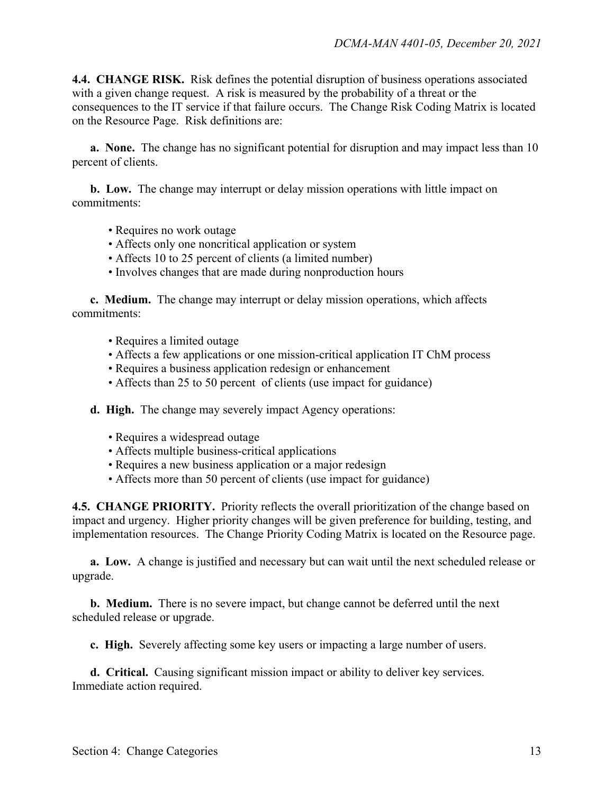**4.4. CHANGE RISK.** Risk defines the potential disruption of business operations associated with a given change request. A risk is measured by the probability of a threat or the consequences to the IT service if that failure occurs. The Change Risk Coding Matrix is located on the Resource Page. Risk definitions are:

**a. None.** The change has no significant potential for disruption and may impact less than 10 percent of clients.

**b. Low.** The change may interrupt or delay mission operations with little impact on commitments:

- Requires no work outage
- Affects only one noncritical application or system
- Affects 10 to 25 percent of clients (a limited number)
- Involves changes that are made during nonproduction hours

**c. Medium.** The change may interrupt or delay mission operations, which affects commitments:

- Requires a limited outage
- Affects a few applications or one mission-critical application IT ChM process
- Requires a business application redesign or enhancement
- Affects than 25 to 50 percent of clients (use impact for guidance)
- **d. High.** The change may severely impact Agency operations:
	- Requires a widespread outage
	- Affects multiple business-critical applications
	- Requires a new business application or a major redesign
	- Affects more than 50 percent of clients (use impact for guidance)

**4.5. CHANGE PRIORITY.** Priority reflects the overall prioritization of the change based on impact and urgency. Higher priority changes will be given preference for building, testing, and implementation resources.The Change Priority Coding Matrix is located on the Resource page.

 **a. Low.** A change is justified and necessary but can wait until the next scheduled release or upgrade.

**b. Medium.** There is no severe impact, but change cannot be deferred until the next scheduled release or upgrade.

**c. High.** Severely affecting some key users or impacting a large number of users.

**d. Critical.** Causing significant mission impact or ability to deliver key services. Immediate action required.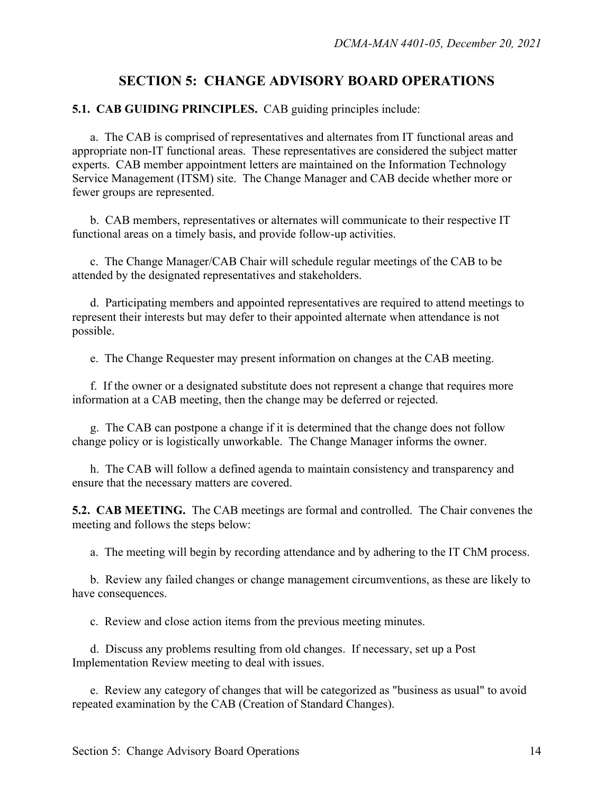### **SECTION 5: CHANGE ADVISORY BOARD OPERATIONS**

#### **5.1. CAB GUIDING PRINCIPLES.** CAB guiding principles include:

 a. The CAB is comprised of representatives and alternates from IT functional areas and appropriate non-IT functional areas. These representatives are considered the subject matter experts. CAB member appointment letters are maintained on the Information Technology Service Management (ITSM) site. The Change Manager and CAB decide whether more or fewer groups are represented.

 b. CAB members, representatives or alternates will communicate to their respective IT functional areas on a timely basis, and provide follow-up activities.

 c. The Change Manager/CAB Chair will schedule regular meetings of the CAB to be attended by the designated representatives and stakeholders.

 d. Participating members and appointed representatives are required to attend meetings to represent their interests but may defer to their appointed alternate when attendance is not possible.

e. The Change Requester may present information on changes at the CAB meeting.

f. If the owner or a designated substitute does not represent a change that requires more information at a CAB meeting, then the change may be deferred or rejected.

 g. The CAB can postpone a change if it is determined that the change does not follow change policy or is logistically unworkable. The Change Manager informs the owner.

 h. The CAB will follow a defined agenda to maintain consistency and transparency and ensure that the necessary matters are covered.

**5.2. CAB MEETING.** The CAB meetings are formal and controlled. The Chair convenes the meeting and follows the steps below:

a. The meeting will begin by recording attendance and by adhering to the IT ChM process.

 b. Review any failed changes or change management circumventions, as these are likely to have consequences.

c. Review and close action items from the previous meeting minutes.

 d. Discuss any problems resulting from old changes. If necessary, set up a Post Implementation Review meeting to deal with issues.

e. Review any category of changes that will be categorized as "business as usual" to avoid repeated examination by the CAB (Creation of Standard Changes).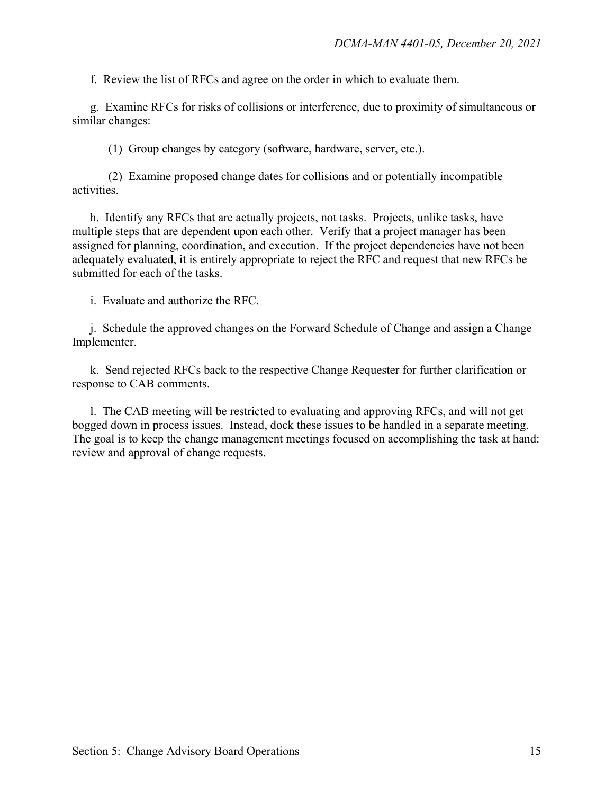f. Review the list of RFCs and agree on the order in which to evaluate them.

 g. Examine RFCs for risks of collisions or interference, due to proximity of simultaneous or similar changes:

(1) Group changes by category (software, hardware, server, etc.).

 (2) Examine proposed change dates for collisions and or potentially incompatible activities.

 h. Identify any RFCs that are actually projects, not tasks. Projects, unlike tasks, have multiple steps that are dependent upon each other. Verify that a project manager has been assigned for planning, coordination, and execution. If the project dependencies have not been adequately evaluated, it is entirely appropriate to reject the RFC and request that new RFCs be submitted for each of the tasks.

i. Evaluate and authorize the RFC.

j. Schedule the approved changes on the Forward Schedule of Change and assign a Change Implementer.

 k. Send rejected RFCs back to the respective Change Requester for further clarification or response to CAB comments.

 l. The CAB meeting will be restricted to evaluating and approving RFCs, and will not get bogged down in process issues. Instead, dock these issues to be handled in a separate meeting. The goal is to keep the change management meetings focused on accomplishing the task at hand: review and approval of change requests.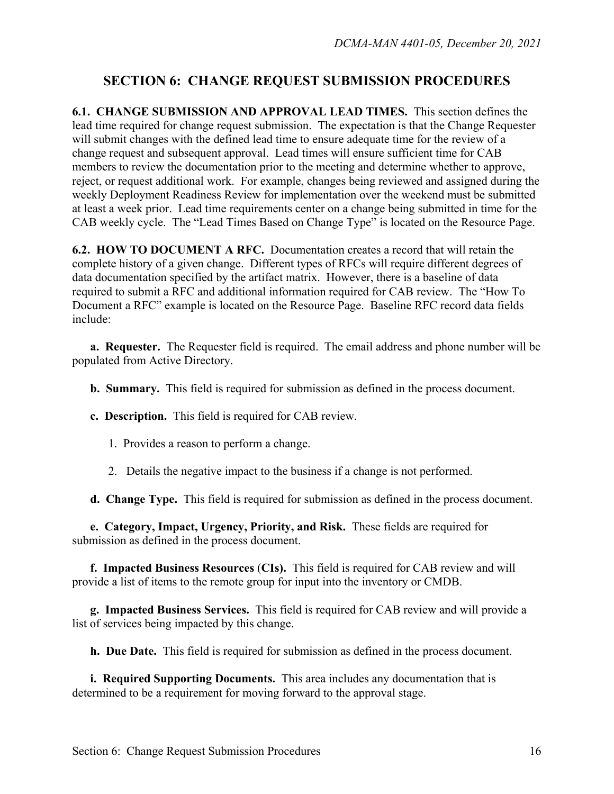## **SECTION 6: CHANGE REQUEST SUBMISSION PROCEDURES**

**6.1. CHANGE SUBMISSION AND APPROVAL LEAD TIMES.** This section defines the lead time required for change request submission. The expectation is that the Change Requester will submit changes with the defined lead time to ensure adequate time for the review of a change request and subsequent approval. Lead times will ensure sufficient time for CAB members to review the documentation prior to the meeting and determine whether to approve, reject, or request additional work. For example, changes being reviewed and assigned during the weekly Deployment Readiness Review for implementation over the weekend must be submitted at least a week prior. Lead time requirements center on a change being submitted in time for the CAB weekly cycle. The "Lead Times Based on Change Type" is located on the Resource Page.

**6.2. HOW TO DOCUMENT A RFC.** Documentation creates a record that will retain the complete history of a given change. Different types of RFCs will require different degrees of data documentation specified by the artifact matrix. However, there is a baseline of data required to submit a RFC and additional information required for CAB review. The "How To Document a RFC" example is located on the Resource Page. Baseline RFC record data fields include:

**a. Requester.** The Requester field is required. The email address and phone number will be populated from Active Directory.

**b. Summary.** This field is required for submission as defined in the process document.

**c. Description.** This field is required for CAB review.

1. Provides a reason to perform a change.

2. Details the negative impact to the business if a change is not performed.

**d. Change Type.** This field is required for submission as defined in the process document.

**e. Category, Impact, Urgency, Priority, and Risk.** These fields are required for submission as defined in the process document.

**f. Impacted Business Resources** (**CIs).** This field is required for CAB review and will provide a list of items to the remote group for input into the inventory or CMDB.

**g. Impacted Business Services.** This field is required for CAB review and will provide a list of services being impacted by this change.

**h. Due Date.** This field is required for submission as defined in the process document.

**i. Required Supporting Documents.** This area includes any documentation that is determined to be a requirement for moving forward to the approval stage.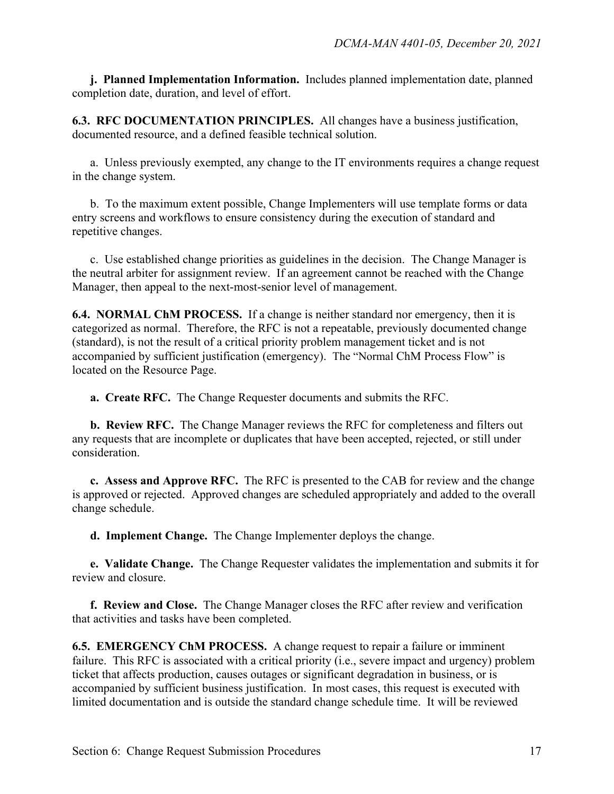**j. Planned Implementation Information.** Includes planned implementation date, planned completion date, duration, and level of effort.

**6.3. RFC DOCUMENTATION PRINCIPLES.** All changes have a business justification, documented resource, and a defined feasible technical solution.

 a. Unless previously exempted, any change to the IT environments requires a change request in the change system.

 b.To the maximum extent possible, Change Implementers will use template forms or data entry screens and workflows to ensure consistency during the execution of standard and repetitive changes.

c.Use established change priorities as guidelines in the decision. The Change Manager is the neutral arbiter for assignment review. If an agreement cannot be reached with the Change Manager, then appeal to the next-most-senior level of management.

**6.4. NORMAL ChM PROCESS.** If a change is neither standard nor emergency, then it is categorized as normal. Therefore, the RFC is not a repeatable, previously documented change (standard), is not the result of a critical priority problem management ticket and is not accompanied by sufficient justification (emergency). The "Normal ChM Process Flow" is located on the Resource Page.

**a. Create RFC.** The Change Requester documents and submits the RFC.

**b. Review RFC.** The Change Manager reviews the RFC for completeness and filters out any requests that are incomplete or duplicates that have been accepted, rejected, or still under consideration.

**c. Assess and Approve RFC.** The RFC is presented to the CAB for review and the change is approved or rejected. Approved changes are scheduled appropriately and added to the overall change schedule.

**d. Implement Change.** The Change Implementer deploys the change.

**e. Validate Change.** The Change Requester validates the implementation and submits it for review and closure.

**f. Review and Close.** The Change Manager closes the RFC after review and verification that activities and tasks have been completed.

**6.5. EMERGENCY ChM PROCESS.** A change request to repair a failure or imminent failure. This RFC is associated with a critical priority (i.e., severe impact and urgency) problem ticket that affects production, causes outages or significant degradation in business, or is accompanied by sufficient business justification. In most cases, this request is executed with limited documentation and is outside the standard change schedule time. It will be reviewed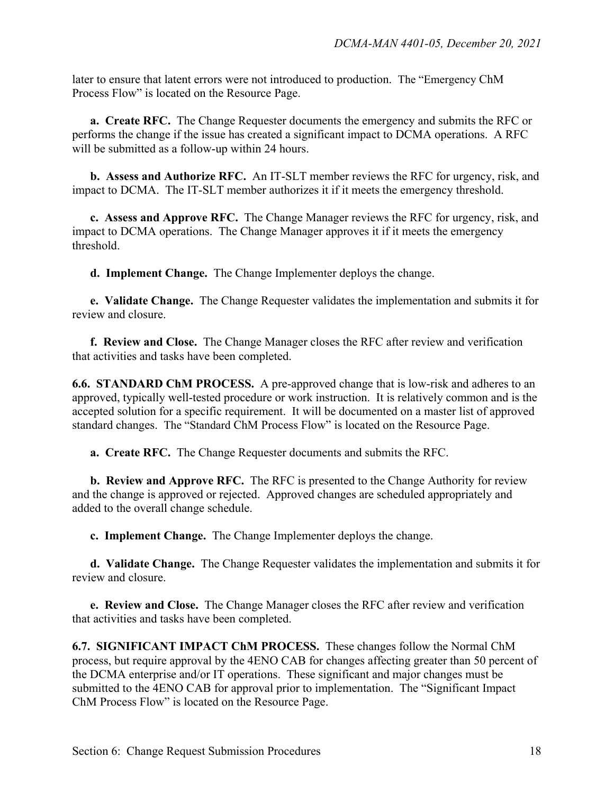later to ensure that latent errors were not introduced to production. The "Emergency ChM Process Flow" is located on the Resource Page.

 **a. Create RFC.** The Change Requester documents the emergency and submits the RFC or performs the change if the issue has created a significant impact to DCMA operations. A RFC will be submitted as a follow-up within 24 hours.

**b. Assess and Authorize RFC.** An IT-SLT member reviews the RFC for urgency, risk, and impact to DCMA. The IT-SLT member authorizes it if it meets the emergency threshold.

**c. Assess and Approve RFC.** The Change Manager reviews the RFC for urgency, risk, and impact to DCMA operations. The Change Manager approves it if it meets the emergency threshold.

**d. Implement Change.** The Change Implementer deploys the change.

**e. Validate Change.** The Change Requester validates the implementation and submits it for review and closure.

**f. Review and Close.** The Change Manager closes the RFC after review and verification that activities and tasks have been completed.

**6.6. STANDARD ChM PROCESS.** A pre-approved change that is low-risk and adheres to an approved, typically well-tested procedure or work instruction. It is relatively common and is the accepted solution for a specific requirement. It will be documented on a master list of approved standard changes. The "Standard ChM Process Flow" is located on the Resource Page.

**a. Create RFC.** The Change Requester documents and submits the RFC.

**b. Review and Approve RFC.** The RFC is presented to the Change Authority for review and the change is approved or rejected. Approved changes are scheduled appropriately and added to the overall change schedule.

**c. Implement Change.** The Change Implementer deploys the change.

**d. Validate Change.** The Change Requester validates the implementation and submits it for review and closure.

**e. Review and Close.** The Change Manager closes the RFC after review and verification that activities and tasks have been completed.

**6.7. SIGNIFICANT IMPACT ChM PROCESS.** These changes follow the Normal ChM process, but require approval by the 4ENO CAB for changes affecting greater than 50 percent of the DCMA enterprise and/or IT operations. These significant and major changes must be submitted to the 4ENO CAB for approval prior to implementation. The "Significant Impact ChM Process Flow" is located on the Resource Page.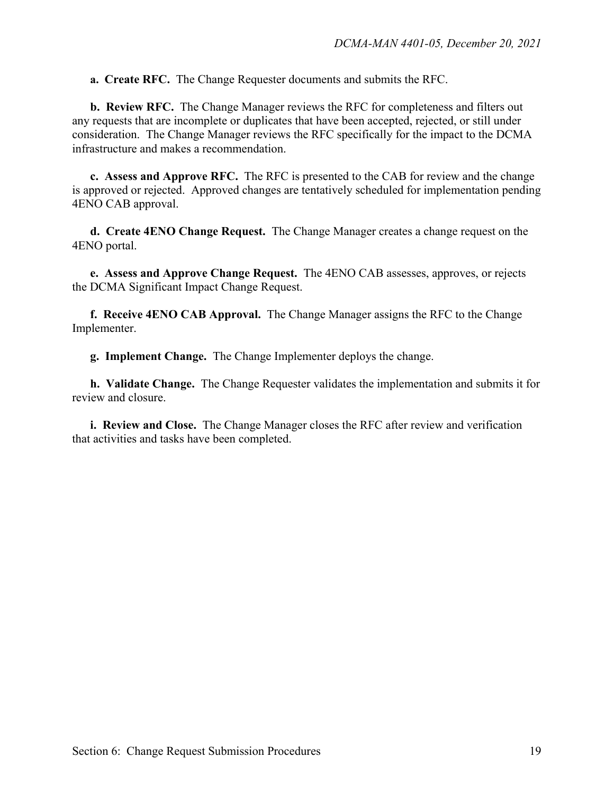**a. Create RFC.** The Change Requester documents and submits the RFC.

**b. Review RFC.** The Change Manager reviews the RFC for completeness and filters out any requests that are incomplete or duplicates that have been accepted, rejected, or still under consideration. The Change Manager reviews the RFC specifically for the impact to the DCMA infrastructure and makes a recommendation.

**c. Assess and Approve RFC.** The RFC is presented to the CAB for review and the change is approved or rejected. Approved changes are tentatively scheduled for implementation pending 4ENO CAB approval.

**d. Create 4ENO Change Request.** The Change Manager creates a change request on the 4ENO portal.

**e. Assess and Approve Change Request.** The 4ENO CAB assesses, approves, or rejects the DCMA Significant Impact Change Request.

**f. Receive 4ENO CAB Approval.** The Change Manager assigns the RFC to the Change Implementer.

**g. Implement Change.** The Change Implementer deploys the change.

**h. Validate Change.** The Change Requester validates the implementation and submits it for review and closure.

**i. Review and Close.** The Change Manager closes the RFC after review and verification that activities and tasks have been completed.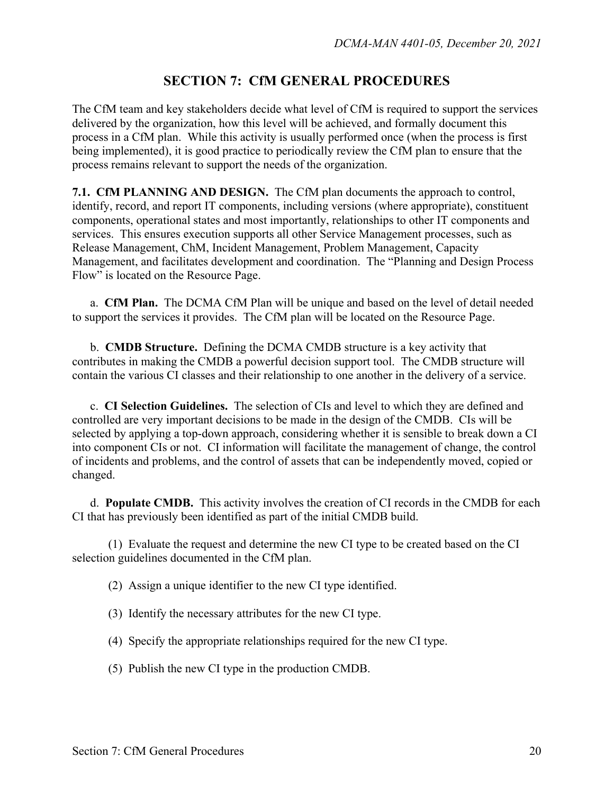## **SECTION 7: CfM GENERAL PROCEDURES**

The CfM team and key stakeholders decide what level of CfM is required to support the services delivered by the organization, how this level will be achieved, and formally document this process in a CfM plan. While this activity is usually performed once (when the process is first being implemented), it is good practice to periodically review the CfM plan to ensure that the process remains relevant to support the needs of the organization.

**7.1. CfM PLANNING AND DESIGN.** The CfM plan documents the approach to control, identify, record, and report IT components, including versions (where appropriate), constituent components, operational states and most importantly, relationships to other IT components and services. This ensures execution supports all other Service Management processes, such as Release Management, ChM, Incident Management, Problem Management, Capacity Management, and facilitates development and coordination. The "Planning and Design Process Flow" is located on the Resource Page.

a. **CfM Plan.** The DCMA CfM Plan will be unique and based on the level of detail needed to support the services it provides. The CfM plan will be located on the Resource Page.

b. **CMDB Structure.** Defining the DCMA CMDB structure is a key activity that contributes in making the CMDB a powerful decision support tool. The CMDB structure will contain the various CI classes and their relationship to one another in the delivery of a service.

c. **CI Selection Guidelines.** The selection of CIs and level to which they are defined and controlled are very important decisions to be made in the design of the CMDB. CIs will be selected by applying a top-down approach, considering whether it is sensible to break down a CI into component CIs or not. CI information will facilitate the management of change, the control of incidents and problems, and the control of assets that can be independently moved, copied or changed.

d. **Populate CMDB.** This activity involves the creation of CI records in the CMDB for each CI that has previously been identified as part of the initial CMDB build.

 (1) Evaluate the request and determine the new CI type to be created based on the CI selection guidelines documented in the CfM plan.

(2) Assign a unique identifier to the new CI type identified.

- (3) Identify the necessary attributes for the new CI type.
- (4) Specify the appropriate relationships required for the new CI type.
- (5) Publish the new CI type in the production CMDB.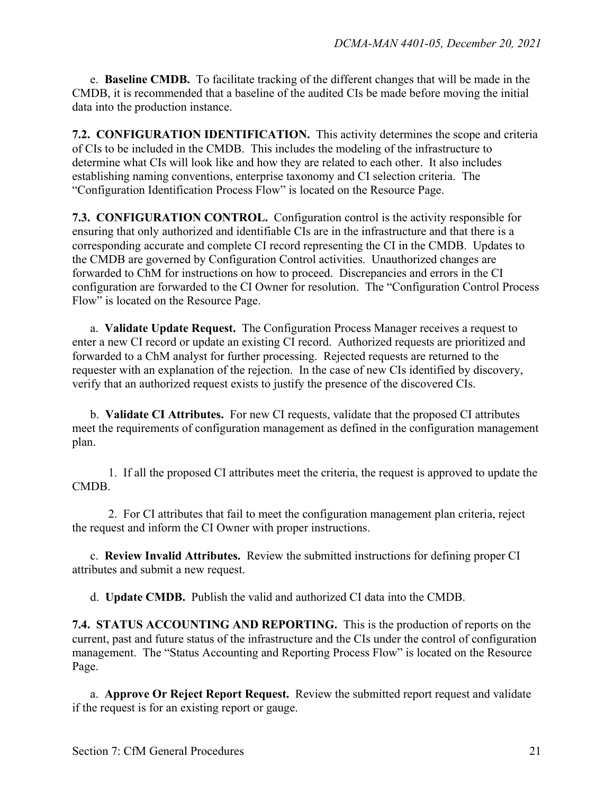e. **Baseline CMDB.** To facilitate tracking of the different changes that will be made in the CMDB, it is recommended that a baseline of the audited CIs be made before moving the initial data into the production instance.

**7.2. CONFIGURATION IDENTIFICATION.** This activity determines the scope and criteria of CIs to be included in the CMDB. This includes the modeling of the infrastructure to determine what CIs will look like and how they are related to each other. It also includes establishing naming conventions, enterprise taxonomy and CI selection criteria.The "Configuration Identification Process Flow" is located on the Resource Page.

**7.3. CONFIGURATION CONTROL.** Configuration control is the activity responsible for ensuring that only authorized and identifiable CIs are in the infrastructure and that there is a corresponding accurate and complete CI record representing the CI in the CMDB. Updates to the CMDB are governed by Configuration Control activities. Unauthorized changes are forwarded to ChM for instructions on how to proceed. Discrepancies and errors in the CI configuration are forwarded to the CI Owner for resolution.The "Configuration Control Process Flow" is located on the Resource Page.

a. **Validate Update Request.** The Configuration Process Manager receives a request to enter a new CI record or update an existing CI record. Authorized requests are prioritized and forwarded to a ChM analyst for further processing. Rejected requests are returned to the requester with an explanation of the rejection. In the case of new CIs identified by discovery, verify that an authorized request exists to justify the presence of the discovered CIs.

b. **Validate CI Attributes.** For new CI requests, validate that the proposed CI attributes meet the requirements of configuration management as defined in the configuration management plan.

1. If all the proposed CI attributes meet the criteria, the request is approved to update the CMDB.

2. For CI attributes that fail to meet the configuration management plan criteria, reject the request and inform the CI Owner with proper instructions.

c. **Review Invalid Attributes.** Review the submitted instructions for defining proper CI attributes and submit a new request.

d. **Update CMDB.** Publish the valid and authorized CI data into the CMDB.

**7.4. STATUS ACCOUNTING AND REPORTING.** This is the production of reports on the current, past and future status of the infrastructure and the CIs under the control of configuration management. The "Status Accounting and Reporting Process Flow" is located on the Resource Page.

a. **Approve Or Reject Report Request.** Review the submitted report request and validate if the request is for an existing report or gauge.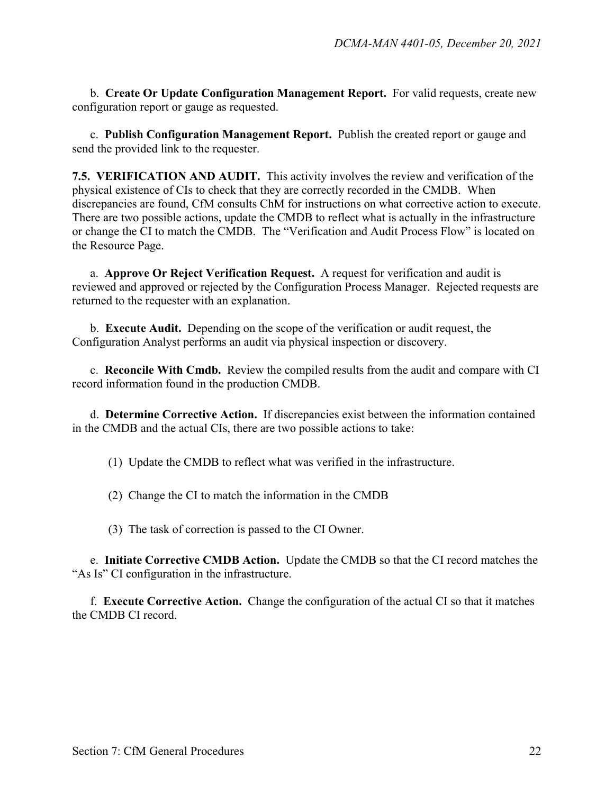b. **Create Or Update Configuration Management Report.** For valid requests, create new configuration report or gauge as requested.

c. **Publish Configuration Management Report.** Publish the created report or gauge and send the provided link to the requester.

**7.5. VERIFICATION AND AUDIT.** This activity involves the review and verification of the physical existence of CIs to check that they are correctly recorded in the CMDB. When discrepancies are found, CfM consults ChM for instructions on what corrective action to execute. There are two possible actions, update the CMDB to reflect what is actually in the infrastructure or change the CI to match the CMDB. The "Verification and Audit Process Flow" is located on the Resource Page.

a. **Approve Or Reject Verification Request.** A request for verification and audit is reviewed and approved or rejected by the Configuration Process Manager. Rejected requests are returned to the requester with an explanation.

b. **Execute Audit.** Depending on the scope of the verification or audit request, the Configuration Analyst performs an audit via physical inspection or discovery.

c. **Reconcile With Cmdb.** Review the compiled results from the audit and compare with CI record information found in the production CMDB.

d. **Determine Corrective Action.** If discrepancies exist between the information contained in the CMDB and the actual CIs, there are two possible actions to take:

(1) Update the CMDB to reflect what was verified in the infrastructure.

(2) Change the CI to match the information in the CMDB

(3) The task of correction is passed to the CI Owner.

e. **Initiate Corrective CMDB Action.** Update the CMDB so that the CI record matches the "As Is" CI configuration in the infrastructure.

f. **Execute Corrective Action.** Change the configuration of the actual CI so that it matches the CMDB CI record.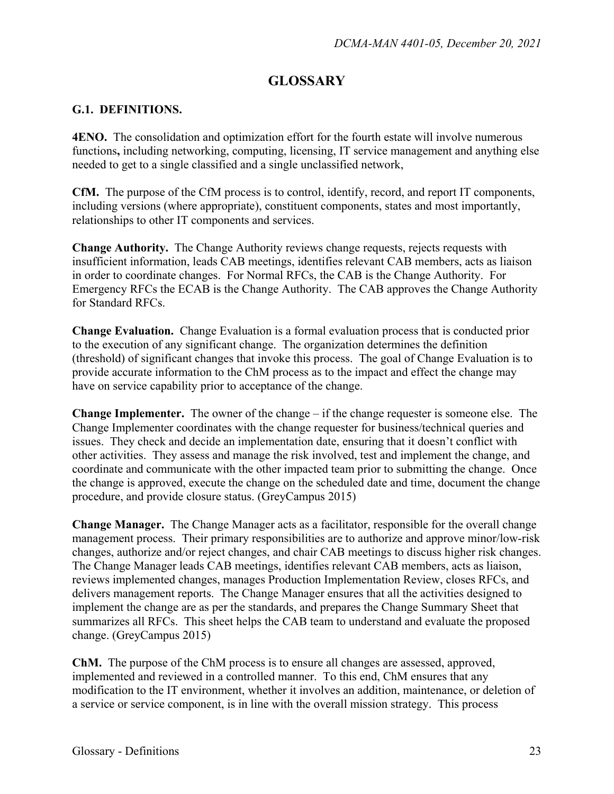## **GLOSSARY**

#### **G.1. DEFINITIONS.**

**4ENO.** The consolidation and optimization effort for the fourth estate will involve numerous functions, including networking, computing, licensing, IT service management and anything else needed to get to a single classified and a single unclassified network,

**CfM.** The purpose of the CfM process is to control, identify, record, and report IT components, including versions (where appropriate), constituent components, states and most importantly, relationships to other IT components and services.

**Change Authority.** The Change Authority reviews change requests, rejects requests with insufficient information, leads CAB meetings, identifies relevant CAB members, acts as liaison in order to coordinate changes. For Normal RFCs, the CAB is the Change Authority. For Emergency RFCs the ECAB is the Change Authority. The CAB approves the Change Authority for Standard RFCs.

**Change Evaluation.** Change Evaluation is a formal evaluation process that is conducted prior to the execution of any significant change. The organization determines the definition (threshold) of significant changes that invoke this process. The goal of Change Evaluation is to provide accurate information to the ChM process as to the impact and effect the change may have on service capability prior to acceptance of the change.

**Change Implementer.** The owner of the change – if the change requester is someone else. The Change Implementer coordinates with the change requester for business/technical queries and issues. They check and decide an implementation date, ensuring that it doesn't conflict with other activities. They assess and manage the risk involved, test and implement the change, and coordinate and communicate with the other impacted team prior to submitting the change. Once the change is approved, execute the change on the scheduled date and time, document the change procedure, and provide closure status. (GreyCampus 2015)

**Change Manager.** The Change Manager acts as a facilitator, responsible for the overall change management process. Their primary responsibilities are to authorize and approve minor/low-risk changes, authorize and/or reject changes, and chair CAB meetings to discuss higher risk changes. The Change Manager leads CAB meetings, identifies relevant CAB members, acts as liaison, reviews implemented changes, manages Production Implementation Review, closes RFCs, and delivers management reports. The Change Manager ensures that all the activities designed to implement the change are as per the standards, and prepares the Change Summary Sheet that summarizes all RFCs. This sheet helps the CAB team to understand and evaluate the proposed change. (GreyCampus 2015)

**ChM.** The purpose of the ChM process is to ensure all changes are assessed, approved, implemented and reviewed in a controlled manner. To this end, ChM ensures that any modification to the IT environment, whether it involves an addition, maintenance, or deletion of a service or service component, is in line with the overall mission strategy. This process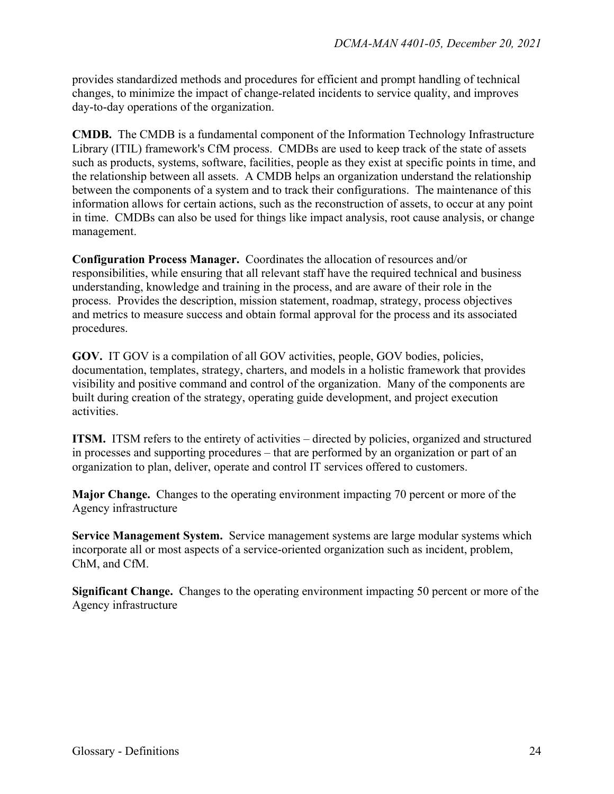provides standardized methods and procedures for efficient and prompt handling of technical changes, to minimize the impact of change-related incidents to service quality, and improves day-to-day operations of the organization.

**CMDB.** The CMDB is a fundamental component of the Information Technology Infrastructure Library (ITIL) framework's CfM process. CMDBs are used to keep track of the state of assets such as products, systems, software, facilities, people as they exist at specific points in time, and the relationship between all assets. A CMDB helps an organization understand the relationship between the components of a system and to track their configurations. The maintenance of this information allows for certain actions, such as the reconstruction of assets, to occur at any point in time. CMDBs can also be used for things like impact analysis, root cause analysis, or change management.

**Configuration Process Manager.** Coordinates the allocation of resources and/or responsibilities, while ensuring that all relevant staff have the required technical and business understanding, knowledge and training in the process, and are aware of their role in the process. Provides the description, mission statement, roadmap, strategy, process objectives and metrics to measure success and obtain formal approval for the process and its associated procedures.

**GOV.** IT GOV is a compilation of all GOV activities, people, GOV bodies, policies, documentation, templates, strategy, charters, and models in a holistic framework that provides visibility and positive command and control of the organization. Many of the components are built during creation of the strategy, operating guide development, and project execution activities.

**ITSM.** ITSM refers to the entirety of activities – directed by policies, organized and structured in processes and supporting procedures – that are performed by an organization or part of an organization to plan, deliver, operate and control IT services offered to customers.

**Major Change.** Changes to the operating environment impacting 70 percent or more of the Agency infrastructure

**Service Management System.** Service management systems are large modular systems which incorporate all or most aspects of a service-oriented organization such as incident, problem, ChM, and CfM.

**Significant Change.** Changes to the operating environment impacting 50 percent or more of the Agency infrastructure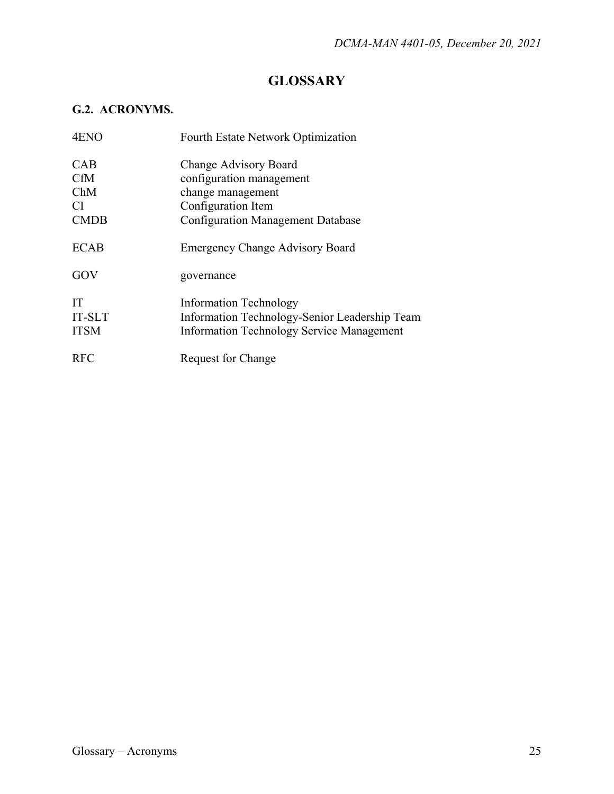## **GLOSSARY**

## **G.2. ACRONYMS.**

| 4ENO        | Fourth Estate Network Optimization               |
|-------------|--------------------------------------------------|
| <b>CAB</b>  | Change Advisory Board                            |
| <b>CfM</b>  | configuration management                         |
| ChM         | change management                                |
| CI.         | Configuration Item                               |
| <b>CMDB</b> | <b>Configuration Management Database</b>         |
| <b>ECAB</b> | <b>Emergency Change Advisory Board</b>           |
| GOV         | governance                                       |
| IT          | <b>Information Technology</b>                    |
| IT-SLT      | Information Technology-Senior Leadership Team    |
| <b>ITSM</b> | <b>Information Technology Service Management</b> |
| <b>RFC</b>  | Request for Change                               |